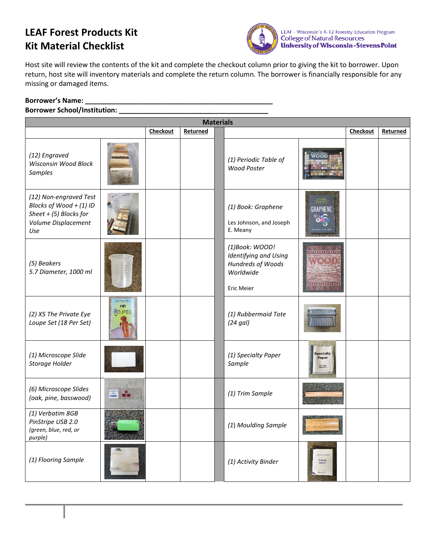## **LEAF Forest Products Kit Kit Material Checklist**



Host site will review the contents of the kit and complete the checkout column prior to giving the kit to borrower. Upon return, host site will inventory materials and complete the return column. The borrower is financially responsible for any missing or damaged items.

## **Borrower's Name: \_\_\_\_\_\_\_\_\_\_\_\_\_\_\_\_\_\_\_\_\_\_\_\_\_\_\_\_\_\_\_\_\_\_\_\_\_\_\_\_\_\_\_\_\_\_\_\_\_**

## **Borrower School/Institution: \_\_\_\_\_\_\_\_\_\_\_\_\_\_\_\_\_\_\_\_\_\_\_\_\_\_\_\_\_\_\_\_\_\_\_\_\_\_\_**

| <b>Materials</b>                                                                                            |                                         |          |          |  |                                                                                                |                                        |          |          |
|-------------------------------------------------------------------------------------------------------------|-----------------------------------------|----------|----------|--|------------------------------------------------------------------------------------------------|----------------------------------------|----------|----------|
|                                                                                                             |                                         | Checkout | Returned |  |                                                                                                |                                        | Checkout | Returned |
| (12) Engraved<br>Wisconsin Wood Block<br><b>Samples</b>                                                     |                                         |          |          |  | (1) Periodic Table of<br><b>Wood Poster</b>                                                    | woon                                   |          |          |
| (12) Non-engraved Test<br>Blocks of Wood + (1) ID<br>Sheet $+$ (5) Blocks for<br>Volume Displacement<br>Use |                                         |          |          |  | (1) Book: Graphene<br>Les Johnson, and Joseph<br>E. Meany                                      | GRAPHENE                               |          |          |
| (5) Beakers<br>5.7 Diameter, 1000 ml                                                                        |                                         |          |          |  | (1)Book: WOOD!<br>Identifying and Using<br>Hundreds of Woods<br>Worldwide<br><b>Eric Meier</b> | ,,,,,,,,,,,,,,,<br><b>INVINIVATION</b> |          |          |
| (2) X5 The Private Eye<br>Loupe Set (18 Per Set)                                                            | THE PRIVATE EYE<br>197<br><b>TOUPES</b> |          |          |  | (1) Rubbermaid Tote<br>(24 gal)                                                                |                                        |          |          |
| (1) Microscope Slide<br>Storage Holder                                                                      |                                         |          |          |  | (1) Specialty Paper<br>Sample                                                                  | <b>specialty</b><br>Paper              |          |          |
| (6) Microscope Slides<br>(oak, pine, basswood)                                                              |                                         |          |          |  | (1) Trim Sample                                                                                |                                        |          |          |
| (1) Verbatim 8GB<br>PinStripe USB 2.0<br>(green, blue, red, or<br>purple)                                   |                                         |          |          |  | (1) Moulding Sample                                                                            |                                        |          |          |
| (1) Flooring Sample                                                                                         |                                         |          |          |  | (1) Activity Binder                                                                            | <b>Activity</b><br>Binder              |          |          |